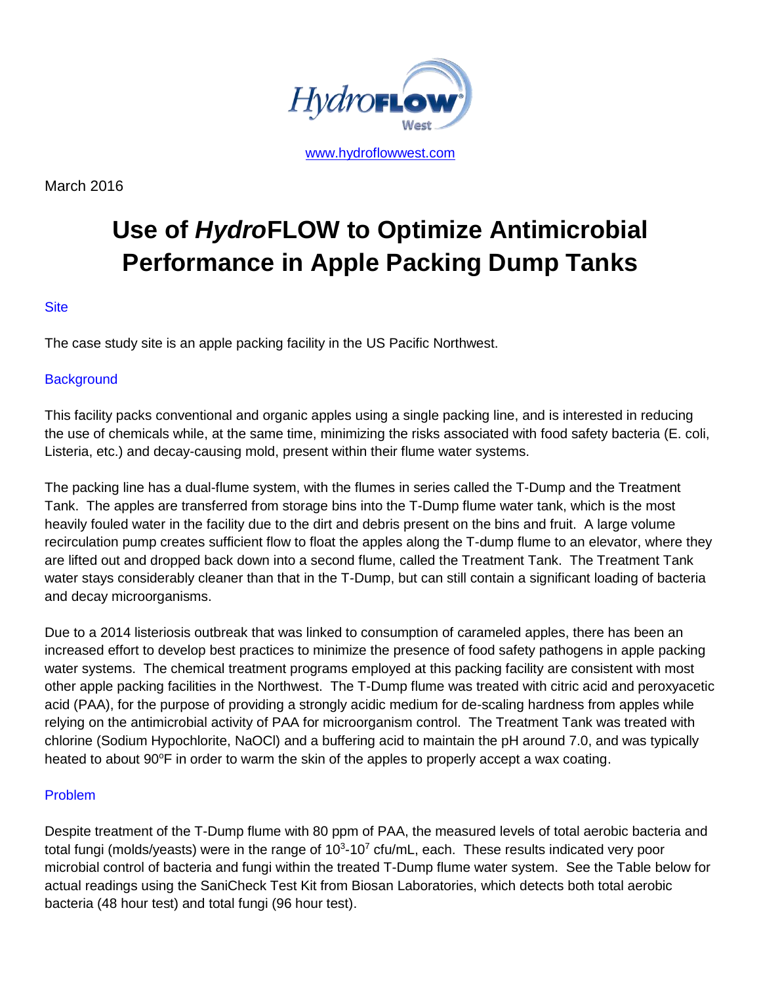

[www.hydroflowwest.com](http://www.hydroflowwest.com/)

March 2016

# **Use of** *Hydro***FLOW to Optimize Antimicrobial Performance in Apple Packing Dump Tanks**

## **Site**

The case study site is an apple packing facility in the US Pacific Northwest.

## **Background**

This facility packs conventional and organic apples using a single packing line, and is interested in reducing the use of chemicals while, at the same time, minimizing the risks associated with food safety bacteria (E. coli, Listeria, etc.) and decay-causing mold, present within their flume water systems.

The packing line has a dual-flume system, with the flumes in series called the T-Dump and the Treatment Tank. The apples are transferred from storage bins into the T-Dump flume water tank, which is the most heavily fouled water in the facility due to the dirt and debris present on the bins and fruit. A large volume recirculation pump creates sufficient flow to float the apples along the T-dump flume to an elevator, where they are lifted out and dropped back down into a second flume, called the Treatment Tank. The Treatment Tank water stays considerably cleaner than that in the T-Dump, but can still contain a significant loading of bacteria and decay microorganisms.

Due to a 2014 listeriosis outbreak that was linked to consumption of carameled apples, there has been an increased effort to develop best practices to minimize the presence of food safety pathogens in apple packing water systems. The chemical treatment programs employed at this packing facility are consistent with most other apple packing facilities in the Northwest. The T-Dump flume was treated with citric acid and peroxyacetic acid (PAA), for the purpose of providing a strongly acidic medium for de-scaling hardness from apples while relying on the antimicrobial activity of PAA for microorganism control. The Treatment Tank was treated with chlorine (Sodium Hypochlorite, NaOCl) and a buffering acid to maintain the pH around 7.0, and was typically heated to about 90°F in order to warm the skin of the apples to properly accept a wax coating.

## Problem

Despite treatment of the T-Dump flume with 80 ppm of PAA, the measured levels of total aerobic bacteria and total fungi (molds/yeasts) were in the range of  $10^3$ -10<sup>7</sup> cfu/mL, each. These results indicated very poor microbial control of bacteria and fungi within the treated T-Dump flume water system. See the Table below for actual readings using the SaniCheck Test Kit from Biosan Laboratories, which detects both total aerobic bacteria (48 hour test) and total fungi (96 hour test).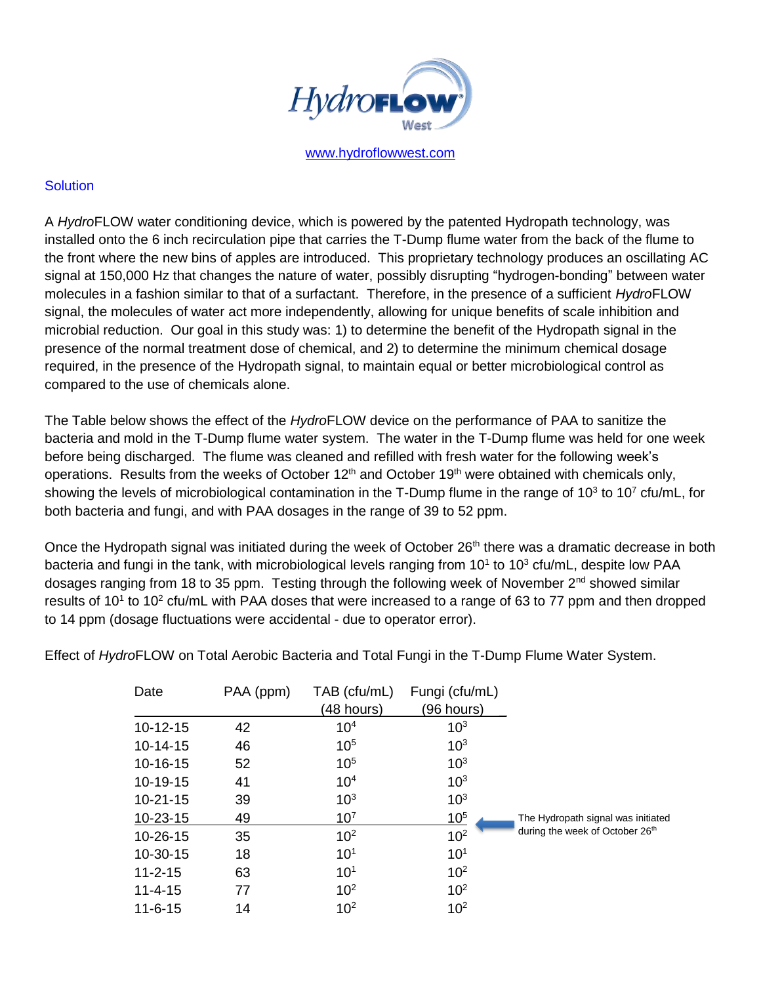

[www.hydroflowwest.com](http://www.hydroflowwest.com/)

### **Solution**

A *Hydro*FLOW water conditioning device, which is powered by the patented Hydropath technology, was installed onto the 6 inch recirculation pipe that carries the T-Dump flume water from the back of the flume to the front where the new bins of apples are introduced. This proprietary technology produces an oscillating AC signal at 150,000 Hz that changes the nature of water, possibly disrupting "hydrogen-bonding" between water molecules in a fashion similar to that of a surfactant. Therefore, in the presence of a sufficient *Hydro*FLOW signal, the molecules of water act more independently, allowing for unique benefits of scale inhibition and microbial reduction. Our goal in this study was: 1) to determine the benefit of the Hydropath signal in the presence of the normal treatment dose of chemical, and 2) to determine the minimum chemical dosage required, in the presence of the Hydropath signal, to maintain equal or better microbiological control as compared to the use of chemicals alone.

The Table below shows the effect of the *Hydro*FLOW device on the performance of PAA to sanitize the bacteria and mold in the T-Dump flume water system. The water in the T-Dump flume was held for one week before being discharged. The flume was cleaned and refilled with fresh water for the following week's operations. Results from the weeks of October  $12<sup>th</sup>$  and October  $19<sup>th</sup>$  were obtained with chemicals only, showing the levels of microbiological contamination in the T-Dump flume in the range of 10<sup>3</sup> to 10<sup>7</sup> cfu/mL, for both bacteria and fungi, and with PAA dosages in the range of 39 to 52 ppm.

Once the Hydropath signal was initiated during the week of October 26<sup>th</sup> there was a dramatic decrease in both bacteria and fungi in the tank, with microbiological levels ranging from 10<sup>1</sup> to 10<sup>3</sup> cfu/mL, despite low PAA dosages ranging from 18 to 35 ppm. Testing through the following week of November 2<sup>nd</sup> showed similar results of 10<sup>1</sup> to 10<sup>2</sup> cfu/mL with PAA doses that were increased to a range of 63 to 77 ppm and then dropped to 14 ppm (dosage fluctuations were accidental - due to operator error).

Effect of *Hydro*FLOW on Total Aerobic Bacteria and Total Fungi in the T-Dump Flume Water System.

| Date           | PAA (ppm) | TAB (cfu/mL)    | Fungi (cfu/mL)  |                                             |
|----------------|-----------|-----------------|-----------------|---------------------------------------------|
|                |           | (48 hours)      | (96 hours)      |                                             |
| $10-12-15$     | 42        | 10 <sup>4</sup> | $10^{3}$        |                                             |
| $10-14-15$     | 46        | 10 <sup>5</sup> | $10^{3}$        |                                             |
| 10-16-15       | 52        | 10 <sup>5</sup> | 10 <sup>3</sup> |                                             |
| 10-19-15       | 41        | 10 <sup>4</sup> | 10 <sup>3</sup> |                                             |
| $10 - 21 - 15$ | 39        | 10 <sup>3</sup> | 10 <sup>3</sup> |                                             |
| 10-23-15       | 49        | 10 <sup>7</sup> | $10^{5}$        | The Hydropath signal was initiated          |
| 10-26-15       | 35        | 10 <sup>2</sup> | 10 <sup>2</sup> | during the week of October 26 <sup>th</sup> |
| 10-30-15       | 18        | $10^{1}$        | $10^{1}$        |                                             |
| $11 - 2 - 15$  | 63        | $10^{1}$        | 10 <sup>2</sup> |                                             |
| $11 - 4 - 15$  | 77        | 10 <sup>2</sup> | 10 <sup>2</sup> |                                             |
| $11 - 6 - 15$  | 14        | 10 <sup>2</sup> | 10 <sup>2</sup> |                                             |